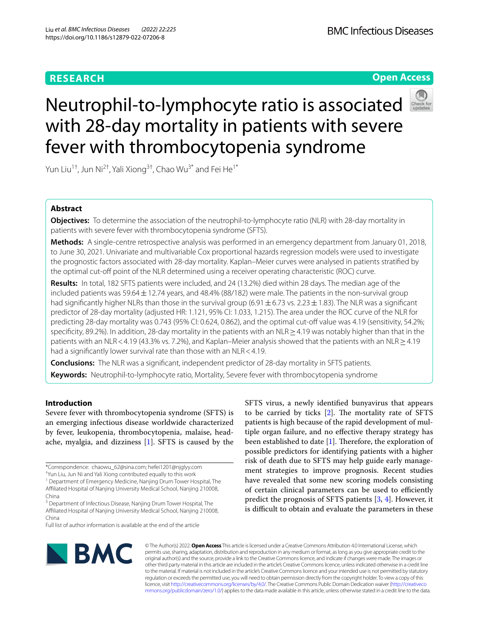# **RESEARCH**

# **Open Access**



# Neutrophil-to-lymphocyte ratio is associated with 28-day mortality in patients with severe fever with thrombocytopenia syndrome

Yun Liu<sup>1†</sup>, Jun Ni<sup>2†</sup>, Yali Xiong<sup>3†</sup>, Chao Wu<sup>3\*</sup> and Fei He<sup>1\*</sup>

# **Abstract**

**Objectives:** To determine the association of the neutrophil-to-lymphocyte ratio (NLR) with 28-day mortality in patients with severe fever with thrombocytopenia syndrome (SFTS).

**Methods:** A single-centre retrospective analysis was performed in an emergency department from January 01, 2018, to June 30, 2021. Univariate and multivariable Cox proportional hazards regression models were used to investigate the prognostic factors associated with 28-day mortality. Kaplan–Meier curves were analysed in patients stratifed by the optimal cut-off point of the NLR determined using a receiver operating characteristic (ROC) curve.

**Results:** In total, 182 SFTS patients were included, and 24 (13.2%) died within 28 days. The median age of the included patients was 59.64 ± 12.74 years, and 48.4% (88/182) were male. The patients in the non-survival group had significantly higher NLRs than those in the survival group (6.91  $\pm$  6.73 vs. 2.23  $\pm$  1.83). The NLR was a significant predictor of 28-day mortality (adjusted HR: 1.121, 95% CI: 1.033, 1.215). The area under the ROC curve of the NLR for predicting 28-day mortality was 0.743 (95% Cl: 0.624, 0.862), and the optimal cut-off value was 4.19 (sensitivity, 54.2%; specificity, 89.2%). In addition, 28-day mortality in the patients with an NLR ≥ 4.19 was notably higher than that in the patients with an NLR<4.19 (43.3% vs. 7.2%), and Kaplan–Meier analysis showed that the patients with an NLR ≥ 4.19 had a signifcantly lower survival rate than those with an NLR<4.19.

**Conclusions:** The NLR was a signifcant, independent predictor of 28-day mortality in SFTS patients.

**Keywords:** Neutrophil-to-lymphocyte ratio, Mortality, Severe fever with thrombocytopenia syndrome

### **Introduction**

Severe fever with thrombocytopenia syndrome (SFTS) is an emerging infectious disease worldwide characterized by fever, leukopenia, thrombocytopenia, malaise, headache, myalgia, and dizziness [\[1](#page-7-0)]. SFTS is caused by the

\*Correspondence: chaowu\_62@sina.com; hefei1201@njglyy.com

† Yun Liu, Jun Ni and Yali Xiong contributed equally to this work

<sup>1</sup> Department of Emergency Medicine, Nanjing Drum Tower Hospital, The Affiliated Hospital of Nanjing University Medical School, Nanjing 210008, China

<sup>3</sup> Department of Infectious Disease, Nanjing Drum Tower Hospital, The Afliated Hospital of Nanjing University Medical School, Nanjing 210008, China

Full list of author information is available at the end of the article

SFTS virus, a newly identifed bunyavirus that appears to be carried by ticks  $[2]$  $[2]$  $[2]$ . The mortality rate of SFTS patients is high because of the rapid development of multiple organ failure, and no efective therapy strategy has been established to date  $[1]$  $[1]$ . Therefore, the exploration of possible predictors for identifying patients with a higher risk of death due to SFTS may help guide early management strategies to improve prognosis. Recent studies have revealed that some new scoring models consisting of certain clinical parameters can be used to efficiently predict the prognosis of SFTS patients [[3,](#page-7-2) [4](#page-7-3)]. However, it is difficult to obtain and evaluate the parameters in these



© The Author(s) 2022. **Open Access** This article is licensed under a Creative Commons Attribution 4.0 International License, which permits use, sharing, adaptation, distribution and reproduction in any medium or format, as long as you give appropriate credit to the original author(s) and the source, provide a link to the Creative Commons licence, and indicate if changes were made. The images or other third party material in this article are included in the article's Creative Commons licence, unless indicated otherwise in a credit line to the material. If material is not included in the article's Creative Commons licence and your intended use is not permitted by statutory regulation or exceeds the permitted use, you will need to obtain permission directly from the copyright holder. To view a copy of this licence, visit [http://creativecommons.org/licenses/by/4.0/.](http://creativecommons.org/licenses/by/4.0/) The Creative Commons Public Domain Dedication waiver ([http://creativeco](http://creativecommons.org/publicdomain/zero/1.0/) [mmons.org/publicdomain/zero/1.0/](http://creativecommons.org/publicdomain/zero/1.0/)) applies to the data made available in this article, unless otherwise stated in a credit line to the data.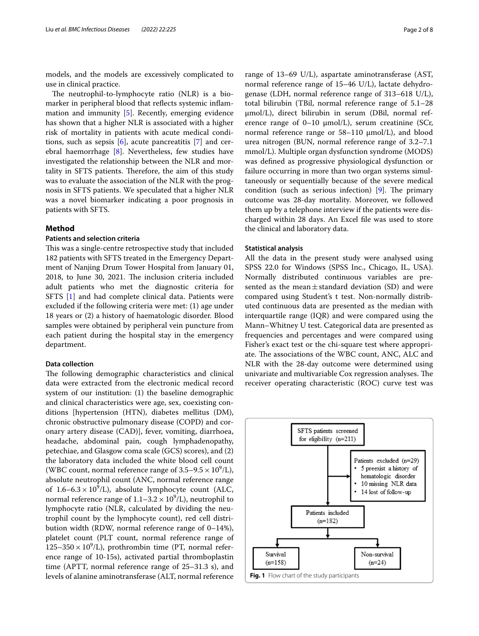models, and the models are excessively complicated to use in clinical practice.

The neutrophil-to-lymphocyte ratio (NLR) is a biomarker in peripheral blood that refects systemic infammation and immunity [[5\]](#page-7-4). Recently, emerging evidence has shown that a higher NLR is associated with a higher risk of mortality in patients with acute medical conditions, such as sepsis [\[6\]](#page-7-5), acute pancreatitis [[7\]](#page-7-6) and cerebral haemorrhage [\[8\]](#page-7-7). Nevertheless, few studies have investigated the relationship between the NLR and mortality in SFTS patients. Therefore, the aim of this study was to evaluate the association of the NLR with the prognosis in SFTS patients. We speculated that a higher NLR was a novel biomarker indicating a poor prognosis in patients with SFTS.

#### **Method**

#### **Patients and selection criteria**

This was a single-centre retrospective study that included 182 patients with SFTS treated in the Emergency Department of Nanjing Drum Tower Hospital from January 01, 2018, to June 30, 2021. The inclusion criteria included adult patients who met the diagnostic criteria for SFTS [[1\]](#page-7-0) and had complete clinical data. Patients were excluded if the following criteria were met: (1) age under 18 years or (2) a history of haematologic disorder. Blood samples were obtained by peripheral vein puncture from each patient during the hospital stay in the emergency department.

#### **Data collection**

The following demographic characteristics and clinical data were extracted from the electronic medical record system of our institution: (1) the baseline demographic and clinical characteristics were age, sex, coexisting conditions [hypertension (HTN), diabetes mellitus (DM), chronic obstructive pulmonary disease (COPD) and coronary artery disease (CAD)], fever, vomiting, diarrhoea, headache, abdominal pain, cough lymphadenopathy, petechiae, and Glasgow coma scale (GCS) scores), and (2) the laboratory data included the white blood cell count (WBC count, normal reference range of  $3.5-9.5 \times 10^9$ /L), absolute neutrophil count (ANC, normal reference range of  $1.6-6.3 \times 10^9$ /L), absolute lymphocyte count (ALC, normal reference range of  $1.1-3.2 \times 10^9$ /L), neutrophil to lymphocyte ratio (NLR, calculated by dividing the neutrophil count by the lymphocyte count), red cell distribution width (RDW, normal reference range of 0–14%), platelet count (PLT count, normal reference range of  $125-350\times10^9$ /L), prothrombin time (PT, normal reference range of 10-15s), activated partial thromboplastin time (APTT, normal reference range of 25–31.3 s), and levels of alanine aminotransferase (ALT, normal reference

range of 13–69 U/L), aspartate aminotransferase (AST, normal reference range of 15–46 U/L), lactate dehydrogenase (LDH, normal reference range of 313–618 U/L), total bilirubin (TBil, normal reference range of 5.1–28 μmol/L), direct bilirubin in serum (DBil, normal reference range of 0–10 μmol/L), serum creatinine (SCr, normal reference range or 58–110 μmol/L), and blood urea nitrogen (BUN, normal reference range of 3.2–7.1 mmol/L). Multiple organ dysfunction syndrome (MODS) was defned as progressive physiological dysfunction or failure occurring in more than two organ systems simultaneously or sequentially because of the severe medical condition (such as serious infection)  $[9]$  $[9]$ . The primary outcome was 28-day mortality. Moreover, we followed them up by a telephone interview if the patients were discharged within 28 days. An Excel fle was used to store the clinical and laboratory data.

#### **Statistical analysis**

All the data in the present study were analysed using SPSS 22.0 for Windows (SPSS Inc., Chicago, IL, USA). Normally distributed continuous variables are presented as the mean $\pm$ standard deviation (SD) and were compared using Student's t test. Non-normally distributed continuous data are presented as the median with interquartile range (IQR) and were compared using the Mann–Whitney U test. Categorical data are presented as frequencies and percentages and were compared using Fisher's exact test or the chi-square test where appropriate. The associations of the WBC count, ANC, ALC and NLR with the 28-day outcome were determined using univariate and multivariable Cox regression analyses. The receiver operating characteristic (ROC) curve test was

<span id="page-1-0"></span>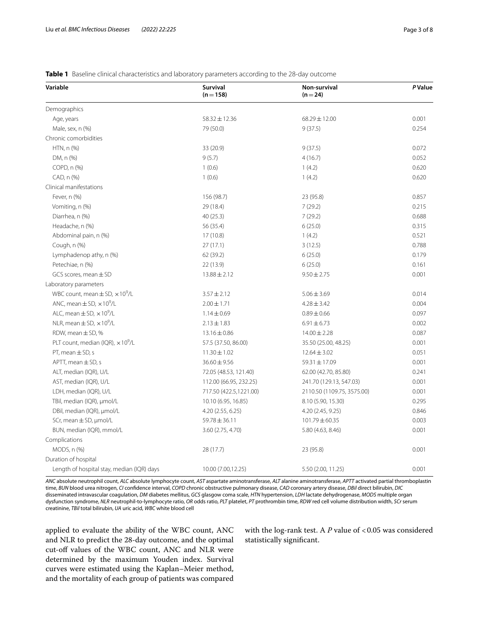<span id="page-2-0"></span>

|  | Table 1 Baseline clinical characteristics and laboratory parameters according to the 28-day outcome |  |  |  |
|--|-----------------------------------------------------------------------------------------------------|--|--|--|
|--|-----------------------------------------------------------------------------------------------------|--|--|--|

| Variable                                              | Survival<br>$(n=158)$  | Non-survival<br>$(n=24)$   | <b>P</b> Value |
|-------------------------------------------------------|------------------------|----------------------------|----------------|
| Demographics                                          |                        |                            |                |
| Age, years                                            | $58.32 \pm 12.36$      | 68.29 ± 12.00              | 0.001          |
| Male, sex, n (%)                                      | 79 (50.0)              | 9(37.5)                    | 0.254          |
| Chronic comorbidities                                 |                        |                            |                |
| HTN, n (%)                                            | 33 (20.9)              | 9(37.5)                    | 0.072          |
| DM, n (%)                                             | 9(5.7)                 | 4(16.7)                    | 0.052          |
| COPD, n (%)                                           | 1(0.6)                 | 1(4.2)                     | 0.620          |
| CAD, n (%)                                            | 1(0.6)                 | 1(4.2)                     | 0.620          |
| Clinical manifestations                               |                        |                            |                |
| Fever, n (%)                                          | 156 (98.7)             | 23 (95.8)                  | 0.857          |
| Vomiting, n (%)                                       | 29 (18.4)              | 7(29.2)                    | 0.215          |
| Diarrhea, n (%)                                       | 40(25.3)               | 7(29.2)                    | 0.688          |
| Headache, n (%)                                       | 56 (35.4)              | 6(25.0)                    | 0.315          |
| Abdominal pain, n (%)                                 | 17(10.8)               | 1(4.2)                     | 0.521          |
| Cough, n (%)                                          | 27(17.1)               | 3(12.5)                    | 0.788          |
| Lymphadenop athy, n (%)                               | 62 (39.2)              | 6(25.0)                    | 0.179          |
| Petechiae, n (%)                                      | 22 (13.9)              | 6(25.0)                    | 0.161          |
| GCS scores, mean $\pm$ SD                             | $13.88 \pm 2.12$       | $9.50 \pm 2.75$            | 0.001          |
| Laboratory parameters                                 |                        |                            |                |
| WBC count, mean $\pm$ SD, $\times$ 10 <sup>9</sup> /L | $3.57 \pm 2.12$        | $5.06 \pm 3.69$            | 0.014          |
| ANC, mean $\pm$ SD, $\times$ 10 <sup>9</sup> /L       | $2.00 \pm 1.71$        | $4.28 \pm 3.42$            | 0.004          |
| ALC, mean $\pm$ SD, $\times$ 10 <sup>9</sup> /L       | $1.14 \pm 0.69$        | $0.89 \pm 0.66$            | 0.097          |
| NLR, mean $\pm$ SD, $\times$ 10 <sup>9</sup> /L       | $2.13 \pm 1.83$        | $6.91 \pm 6.73$            | 0.002          |
| RDW, mean $\pm$ SD, %                                 | $13.16 \pm 0.86$       | $14.00 \pm 2.28$           | 0.087          |
| PLT count, median (IQR), ×10 <sup>9</sup> /L          | 57.5 (37.50, 86.00)    | 35.50 (25.00, 48.25)       | 0.001          |
| PT, mean $\pm$ SD, s                                  | $11.30 \pm 1.02$       | $12.64 \pm 3.02$           | 0.051          |
| APTT, mean $\pm$ SD, s                                | $36.60 \pm 9.56$       | 59.31 ± 17.09              | 0.001          |
| ALT, median (IQR), U/L                                | 72.05 (48.53, 121.40)  | 62.00 (42.70, 85.80)       | 0.241          |
| AST, median (IQR), U/L                                | 112.00 (66.95, 232.25) | 241.70 (129.13, 547.03)    | 0.001          |
| LDH, median (IQR), U/L                                | 717.50 (422.5,1221.00) | 2110.50 (1109.75, 3575.00) | 0.001          |
| TBil, median (IQR), µmol/L                            | 10.10 (6.95, 16.85)    | 8.10 (5.90, 15.30)         | 0.295          |
| DBil, median (IQR), µmol/L                            | 4.20 (2.55, 6.25)      | 4.20 (2.45, 9.25)          | 0.846          |
| SCr, mean ± SD, µmol/L                                | $59.78 \pm 36.11$      | $101.79 \pm 60.35$         | 0.003          |
| BUN, median (IQR), mmol/L                             | 3.60 (2.75, 4.70)      | 5.80 (4.63, 8.46)          | 0.001          |
| Complications                                         |                        |                            |                |
| MODS, n (%)                                           | 28 (17.7)              | 23 (95.8)                  | 0.001          |
| Duration of hospital                                  |                        |                            |                |
| Length of hospital stay, median (IQR) days            | 10.00 (7.00,12.25)     | 5.50 (2.00, 11.25)         | 0.001          |

*ANC* absolute neutrophil count, *ALC* absolute lymphocyte count, *AST* aspartate aminotransferase, *ALT* alanine aminotransferase, *APTT* activated partial thromboplastin time, *BUN* blood urea nitrogen, *CI* confdence interval, *COPD* chronic obstructive pulmonary disease, *CAD* coronary artery disease, *DBil* direct bilirubin, *DIC* disseminated intravascular coagulation, *DM* diabetes mellitus, *GCS* glasgow coma scale, *HTN* hypertension, *LDH* lactate dehydrogenase, *MODS* multiple organ dysfunction syndrome, *NLR* neutrophil-to-lymphocyte ratio, *OR* odds ratio, *PLT* platelet, *PT* prothrombin time, *RDW* red cell volume distribution width, *SCr* serum creatinine, *TBil* total bilirubin, *UA* uric acid, *WBC* white blood cell

applied to evaluate the ability of the WBC count, ANC and NLR to predict the 28-day outcome, and the optimal cut-off values of the WBC count, ANC and NLR were determined by the maximum Youden index. Survival curves were estimated using the Kaplan–Meier method, and the mortality of each group of patients was compared with the log-rank test. A P value of <0.05 was considered statistically signifcant.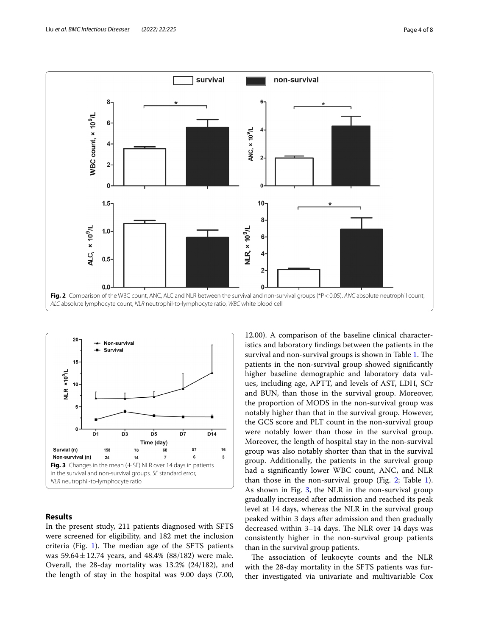

<span id="page-3-0"></span>

#### <span id="page-3-1"></span>**Results**

In the present study, 211 patients diagnosed with SFTS were screened for eligibility, and 182 met the inclusion criteria (Fig.  $1$ ). The median age of the SFTS patients was  $59.64 \pm 12.74$  years, and  $48.4\%$  (88/182) were male. Overall, the 28-day mortality was 13.2% (24/182), and the length of stay in the hospital was 9.00 days (7.00,

12.00). A comparison of the baseline clinical characteristics and laboratory fndings between the patients in the survival and non-survival groups is shown in Table [1.](#page-2-0) The patients in the non-survival group showed signifcantly higher baseline demographic and laboratory data values, including age, APTT, and levels of AST, LDH, SCr and BUN, than those in the survival group. Moreover, the proportion of MODS in the non-survival group was notably higher than that in the survival group. However, the GCS score and PLT count in the non-survival group were notably lower than those in the survival group. Moreover, the length of hospital stay in the non-survival group was also notably shorter than that in the survival group. Additionally, the patients in the survival group had a signifcantly lower WBC count, ANC, and NLR than those in the non-survival group (Fig. [2](#page-3-0); Table [1](#page-2-0)). As shown in Fig. [3,](#page-3-1) the NLR in the non-survival group gradually increased after admission and reached its peak level at 14 days, whereas the NLR in the survival group peaked within 3 days after admission and then gradually decreased within  $3-14$  days. The NLR over 14 days was consistently higher in the non-survival group patients than in the survival group patients.

The association of leukocyte counts and the NLR with the 28-day mortality in the SFTS patients was further investigated via univariate and multivariable Cox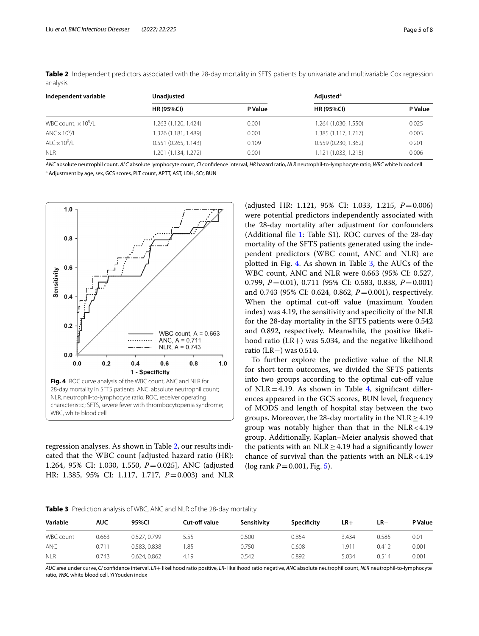<span id="page-4-0"></span>

|          | Table 2 Independent predictors associated with the 28-day mortality in SFTS patients by univariate and multivariable Cox regression |  |  |
|----------|-------------------------------------------------------------------------------------------------------------------------------------|--|--|
| analysis |                                                                                                                                     |  |  |

| Independent variable            | <b>Unadjusted</b>    |         | Adjusted <sup>a</sup> |         |  |
|---------------------------------|----------------------|---------|-----------------------|---------|--|
|                                 | <b>HR (95%CI)</b>    | P Value | <b>HR (95%CI)</b>     | P Value |  |
| WBC count, $\times 10^9$ /L     | 1.263 (1.120, 1.424) | 0.001   | 1.264 (1.030, 1.550)  | 0.025   |  |
| ANC $\times$ 10 <sup>9</sup> /L | 1.326 (1.181, 1.489) | 0.001   | 1.385 (1.117, 1.717)  | 0.003   |  |
| ALC $\times$ 10 <sup>9</sup> /L | 0.551(0.265, 1.143)  | 0.109   | 0.559(0.230.1.362)    | 0.201   |  |
| <b>NLR</b>                      | 1.201 (1.134, 1.272) | 0.001   | 1.121 (1.033, 1.215)  | 0.006   |  |

*ANC* absolute neutrophil count, *ALC* absolute lymphocyte count, *CI* confdence interval, *HR* hazard ratio, *NLR* neutrophil-to-lymphocyte ratio, *WBC* white blood cell <sup>a</sup> Adjustment by age, sex, GCS scores, PLT count, APTT, AST, LDH, SCr, BUN



<span id="page-4-1"></span>regression analyses. As shown in Table [2,](#page-4-0) our results indicated that the WBC count [adjusted hazard ratio (HR): 1.264, 95% CI: 1.030, 1.550, *P*=0.025], ANC (adjusted HR: 1.385, 95% CI: 1.117, 1.717, *P*=0.003) and NLR

(adjusted HR: 1.121, 95% CI: 1.033, 1.215, *P*=0.006) were potential predictors independently associated with the 28-day mortality after adjustment for confounders (Additional file [1](#page-6-0): Table S1). ROC curves of the 28-day mortality of the SFTS patients generated using the independent predictors (WBC count, ANC and NLR) are plotted in Fig. [4.](#page-4-1) As shown in Table [3](#page-4-2), the AUCs of the WBC count, ANC and NLR were 0.663 (95% CI: 0.527, 0.799, *P*=0.01), 0.711 (95% CI: 0.583, 0.838, *P*=0.001) and 0.743 (95% CI: 0.624, 0.862, *P* = 0.001), respectively. When the optimal cut-off value (maximum Youden index) was 4.19, the sensitivity and specificity of the NLR for the 28-day mortality in the SFTS patients were 0.542 and 0.892, respectively. Meanwhile, the positive likelihood ratio (LR+) was 5.034, and the negative likelihood ratio (LR−) was 0.514.

To further explore the predictive value of the NLR for short-term outcomes, we divided the SFTS patients into two groups according to the optimal cut-of value of NLR=[4](#page-5-0).19. As shown in Table 4, significant differences appeared in the GCS scores, BUN level, frequency of MODS and length of hospital stay between the two groups. Moreover, the 28-day mortality in the NLR  $> 4.19$ group was notably higher than that in the  $NLR < 4.19$ group. Additionally, Kaplan–Meier analysis showed that the patients with an NLR $\geq$  4.19 had a significantly lower chance of survival than the patients with an  $NLR < 4.19$  $(\log$  rank  $P = 0.001$ , Fig. [5\)](#page-6-1).

<span id="page-4-2"></span>

|  |  |  | Table 3 Prediction analysis of WBC, ANC and NLR of the 28-day mortality |
|--|--|--|-------------------------------------------------------------------------|
|--|--|--|-------------------------------------------------------------------------|

| Variable   | <b>AUC</b> | 95%CI        | Cut-off value | Sensitivity | Specificity | LR+   | LR—   | <b>P</b> Value |
|------------|------------|--------------|---------------|-------------|-------------|-------|-------|----------------|
| WBC count  | 0.663      | 0.527, 0.799 | 5.55          | 0.500       | 0.854       | 3.434 | 0.585 | 0.01           |
| ANC        | 0.711      | 0.583, 0.838 | .85           | 0.750       | 0.608       | 1.911 | 0.412 | 0.001          |
| <b>NLR</b> | 0.743      | 0.624, 0.862 | 4.19          | 0.542       | 0.892       | 5.034 | 0.514 | 0.001          |

*AUC* area under curve, *CI* confdence interval, *LR*+ likelihood ratio positive, *LR-* likelihood ratio negative, *ANC* absolute neutrophil count, *NLR* neutrophil-to-lymphocyte ratio, *WBC* white blood cell, *YI* Youden index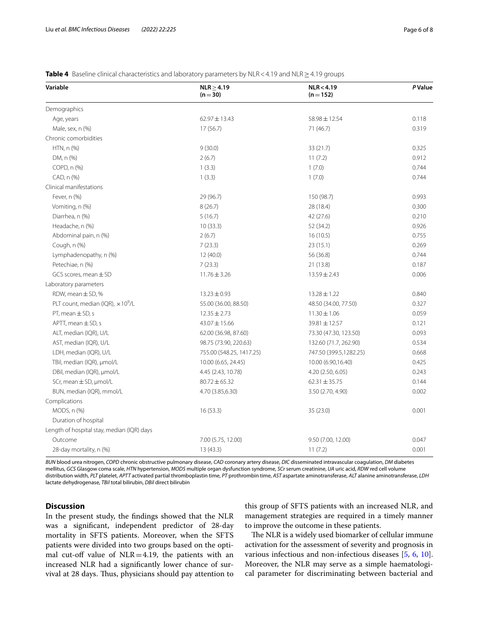| Variable                                     | $NLR \geq 4.19$<br>$(n=30)$ | NLR < 4.19<br>$(n=152)$ | P Value |
|----------------------------------------------|-----------------------------|-------------------------|---------|
| Demographics                                 |                             |                         |         |
| Age, years                                   | $62.97 \pm 13.43$           | $58.98 \pm 12.54$       | 0.118   |
| Male, sex, n (%)                             | 17 (56.7)                   | 71 (46.7)               | 0.319   |
| Chronic comorbidities                        |                             |                         |         |
| HTN, n (%)                                   | 9(30.0)                     | 33 (21.7)               | 0.325   |
| DM, n (%)                                    | 2(6.7)                      | 11(7.2)                 | 0.912   |
| COPD, n (%)                                  | 1(3.3)                      | 1(7.0)                  | 0.744   |
| CAD, n (%)                                   | 1(3.3)                      | 1(7.0)                  | 0.744   |
| Clinical manifestations                      |                             |                         |         |
| Fever, n (%)                                 | 29 (96.7)                   | 150 (98.7)              | 0.993   |
| Vomiting, n (%)                              | 8(26.7)                     | 28 (18.4)               | 0.300   |
| Diarrhea, n (%)                              | 5(16.7)                     | 42 (27.6)               | 0.210   |
| Headache, n (%)                              | 10(33.3)                    | 52 (34.2)               | 0.926   |
| Abdominal pain, n (%)                        | 2(6.7)                      | 16(10.5)                | 0.755   |
| Cough, n (%)                                 | 7(23.3)                     | 23(15.1)                | 0.269   |
| Lymphadenopathy, n (%)                       | 12(40.0)                    | 56 (36.8)               | 0.744   |
| Petechiae, n (%)                             | 7(23.3)                     | 21 (13.8)               | 0.187   |
| GCS scores, mean $\pm$ SD                    | $11.76 \pm 3.26$            | $13.59 \pm 2.43$        | 0.006   |
| Laboratory parameters                        |                             |                         |         |
| RDW, mean $\pm$ SD, %                        | $13.23 \pm 0.93$            | $13.28 \pm 1.22$        | 0.840   |
| PLT count, median (IQR), ×10 <sup>9</sup> /L | 55.00 (36.00, 88.50)        | 48.50 (34.00, 77.50)    | 0.327   |
| PT, mean $\pm$ SD, s                         | $12.35 \pm 2.73$            | $11.30 \pm 1.06$        | 0.059   |
| APTT, mean $\pm$ SD, s                       | 43.07 ± 15.66               | 39.81 ± 12.57           | 0.121   |
| ALT, median (IQR), U/L                       | 62.00 (36.98, 87.60)        | 73.30 (47.30, 123.50)   | 0.093   |
| AST, median (IQR), U/L                       | 98.75 (73.90, 220.63)       | 132.60 (71.7, 262.90)   | 0.534   |
| LDH, median (IQR), U/L                       | 755.00 (548.25, 1417.25)    | 747.50 (399.5,1282.25)  | 0.668   |
| TBil, median (IQR), µmol/L                   | 10.00 (6.65, 24.45)         | 10.00 (6.90,16.40)      | 0.425   |
| DBil, median (IQR), µmol/L                   | 4.45 (2.43, 10.78)          | 4.20 (2.50, 6.05)       | 0.243   |
| SCr, mean ± SD, µmol/L                       | $80.72 \pm 65.32$           | $62.31 \pm 35.75$       | 0.144   |
| BUN, median (IQR), mmol/L                    | 4.70 (3.85,6.30)            | 3.50 (2.70, 4.90)       | 0.002   |
| Complications                                |                             |                         |         |
| MODS, n (%)                                  | 16(53.3)                    | 35 (23.0)               | 0.001   |
| Duration of hospital                         |                             |                         |         |
| Length of hospital stay, median (IQR) days   |                             |                         |         |
| Outcome                                      | 7.00 (5.75, 12.00)          | 9.50 (7.00, 12.00)      | 0.047   |
| 28-day mortality, n (%)                      | 13(43.3)                    | 11(7.2)                 | 0.001   |

<span id="page-5-0"></span>**Table 4** Baseline clinical characteristics and laboratory parameters by NLR<4.19 and NLR≥4.19 groups

*BUN* blood urea nitrogen, *COPD* chronic obstructive pulmonary disease, *CAD* coronary artery disease, *DIC* disseminated intravascular coagulation, *DM* diabetes mellitus, *GCS* Glasgow coma scale, *HTN* hypertension, *MODS* multiple organ dysfunction syndrome, *SCr* serum creatinine, *UA* uric acid, *RDW* red cell volume distribution width, *PLT* platelet, *APTT* activated partial thromboplastin time, *PT* prothrombin time, *AST* aspartate aminotransferase, *ALT* alanine aminotransferase, *LDH* lactate dehydrogenase, *TBil* total bilirubin, *DBil* direct bilirubin

#### **Discussion**

In the present study, the fndings showed that the NLR was a signifcant, independent predictor of 28-day mortality in SFTS patients. Moreover, when the SFTS patients were divided into two groups based on the optimal cut-off value of  $NLR = 4.19$ , the patients with an increased NLR had a signifcantly lower chance of survival at 28 days. Thus, physicians should pay attention to this group of SFTS patients with an increased NLR, and management strategies are required in a timely manner to improve the outcome in these patients.

The NLR is a widely used biomarker of cellular immune activation for the assessment of severity and prognosis in various infectious and non-infectious diseases [[5](#page-7-4), [6,](#page-7-5) [10](#page-7-9)]. Moreover, the NLR may serve as a simple haematological parameter for discriminating between bacterial and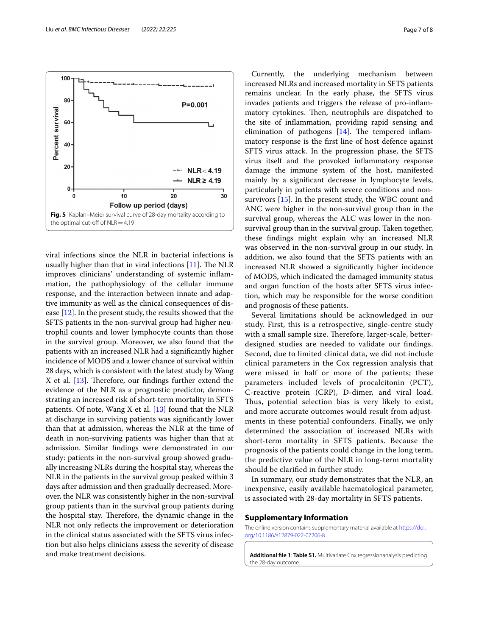100

80

40

20

 $\mathbf{0} \cdot$ 

 $\Omega$ 

Percent survival 60



<span id="page-6-1"></span>**Fig. 5** Kaplan–Meier survival curve of 28-day mortality according to

Follow up period (days)

 $10$ 

the optimal cut-off of  $NLR = 4.19$ 

Currently, the underlying mechanism between increased NLRs and increased mortality in SFTS patients remains unclear. In the early phase, the SFTS virus invades patients and triggers the release of pro-infammatory cytokines. Then, neutrophils are dispatched to the site of infammation, providing rapid sensing and elimination of pathogens  $[14]$  $[14]$ . The tempered inflammatory response is the frst line of host defence against SFTS virus attack. In the progression phase, the SFTS virus itself and the provoked infammatory response damage the immune system of the host, manifested mainly by a signifcant decrease in lymphocyte levels, particularly in patients with severe conditions and nonsurvivors [[15](#page-7-14)]. In the present study, the WBC count and ANC were higher in the non-survival group than in the survival group, whereas the ALC was lower in the nonsurvival group than in the survival group. Taken together, these fndings might explain why an increased NLR was observed in the non-survival group in our study. In addition, we also found that the SFTS patients with an increased NLR showed a signifcantly higher incidence of MODS, which indicated the damaged immunity status and organ function of the hosts after SFTS virus infection, which may be responsible for the worse condition and prognosis of these patients.

Several limitations should be acknowledged in our study. First, this is a retrospective, single-centre study with a small sample size. Therefore, larger-scale, betterdesigned studies are needed to validate our fndings. Second, due to limited clinical data, we did not include clinical parameters in the Cox regression analysis that were missed in half or more of the patients; these parameters included levels of procalcitonin (PCT), C-reactive protein (CRP), D-dimer, and viral load. Thus, potential selection bias is very likely to exist, and more accurate outcomes would result from adjustments in these potential confounders. Finally, we only determined the association of increased NLRs with short-term mortality in SFTS patients. Because the prognosis of the patients could change in the long term, the predictive value of the NLR in long-term mortality should be clarifed in further study.

In summary, our study demonstrates that the NLR, an inexpensive, easily available haematological parameter, is associated with 28-day mortality in SFTS patients.

#### **Supplementary Information**

The online version contains supplementary material available at [https://doi.](https://doi.org/10.1186/s12879-022-07206-8) [org/10.1186/s12879-022-07206-8](https://doi.org/10.1186/s12879-022-07206-8).

<span id="page-6-0"></span>**Additional fle 1**: **Table S1.** Multivariate Cox regressionanalysis predicting the 28-day outcome.



 $NLR < 4.19$  $NLR \geq 4.19$ 

30

 $20$